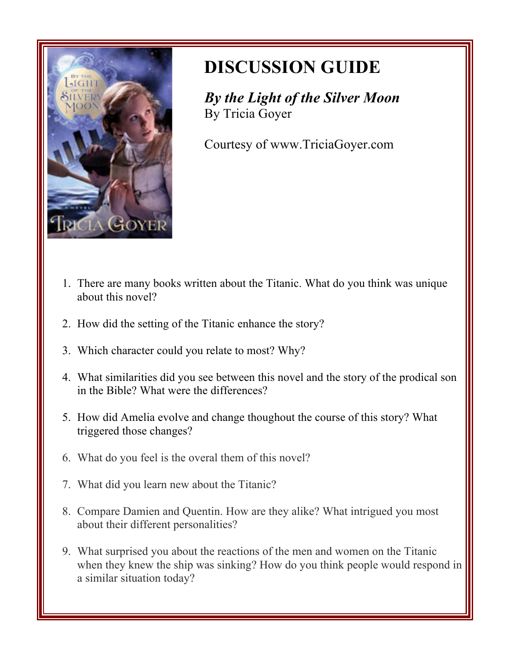

## **DISCUSSION GUIDE**

*By the Light of the Silver Moon* By Tricia Goyer

Courtesy of www.TriciaGoyer.com

- 1. There are many books written about the Titanic. What do you think was unique about this novel?
- 2. How did the setting of the Titanic enhance the story?
- 3. Which character could you relate to most? Why?
- 4. What similarities did you see between this novel and the story of the prodical son in the Bible? What were the differences?
- 5. How did Amelia evolve and change thoughout the course of this story? What triggered those changes?
- 6. What do you feel is the overal them of this novel?
- 7. What did you learn new about the Titanic?
- 8. Compare Damien and Quentin. How are they alike? What intrigued you most about their different personalities?
- 9. What surprised you about the reactions of the men and women on the Titanic when they knew the ship was sinking? How do you think people would respond in a similar situation today?